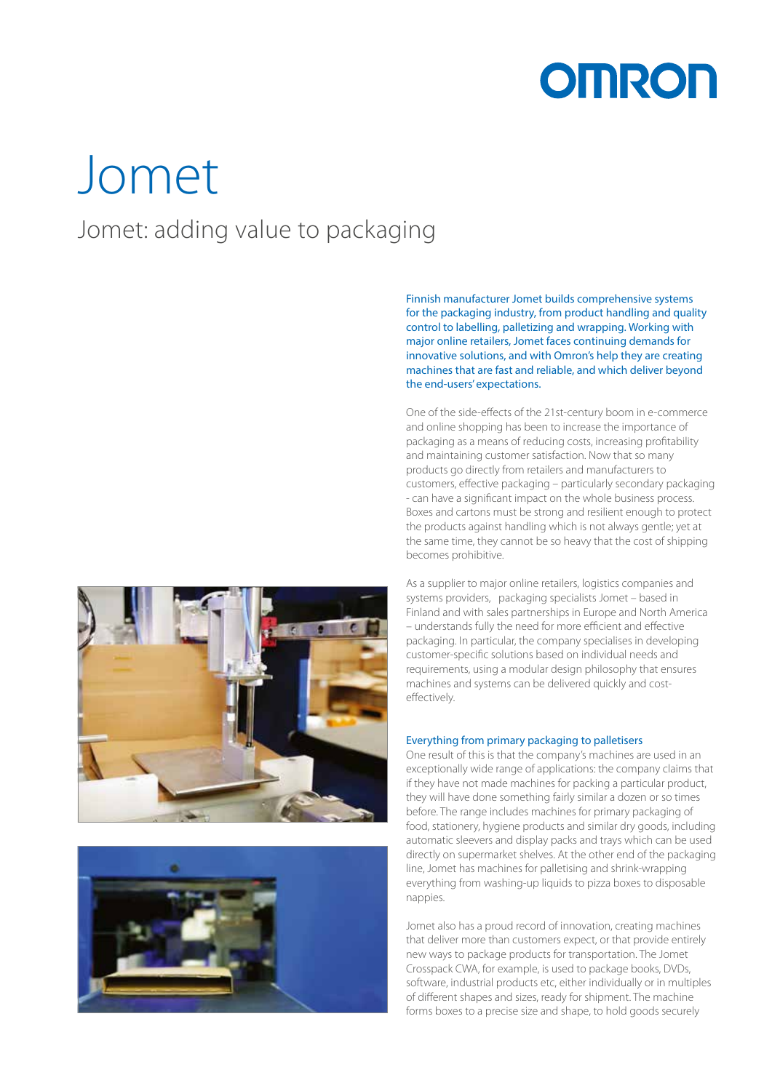

## Jomet Jomet: adding value to packaging



Finnish manufacturer Jomet builds comprehensive systems for the packaging industry, from product handling and quality control to labelling, palletizing and wrapping. Working with major online retailers, Jomet faces continuing demands for innovative solutions, and with Omron's help they are creating machines that are fast and reliable, and which deliver beyond the end-users' expectations.

One of the side-effects of the 21st-century boom in e-commerce and online shopping has been to increase the importance of packaging as a means of reducing costs, increasing profitability and maintaining customer satisfaction. Now that so many products go directly from retailers and manufacturers to customers, effective packaging – particularly secondary packaging - can have a significant impact on the whole business process. Boxes and cartons must be strong and resilient enough to protect the products against handling which is not always gentle; yet at the same time, they cannot be so heavy that the cost of shipping becomes prohibitive.

As a supplier to major online retailers, logistics companies and systems providers, packaging specialists Jomet – based in Finland and with sales partnerships in Europe and North America – understands fully the need for more efficient and effective packaging. In particular, the company specialises in developing customer-specific solutions based on individual needs and requirements, using a modular design philosophy that ensures machines and systems can be delivered quickly and costeffectively.

## Everything from primary packaging to palletisers

One result of this is that the company's machines are used in an exceptionally wide range of applications: the company claims that if they have not made machines for packing a particular product, they will have done something fairly similar a dozen or so times before. The range includes machines for primary packaging of food, stationery, hygiene products and similar dry goods, including automatic sleevers and display packs and trays which can be used directly on supermarket shelves. At the other end of the packaging line, Jomet has machines for palletising and shrink-wrapping everything from washing-up liquids to pizza boxes to disposable nappies.

Jomet also has a proud record of innovation, creating machines that deliver more than customers expect, or that provide entirely new ways to package products for transportation. The Jomet Crosspack CWA, for example, is used to package books, DVDs, software, industrial products etc, either individually or in multiples of different shapes and sizes, ready for shipment. The machine forms boxes to a precise size and shape, to hold goods securely